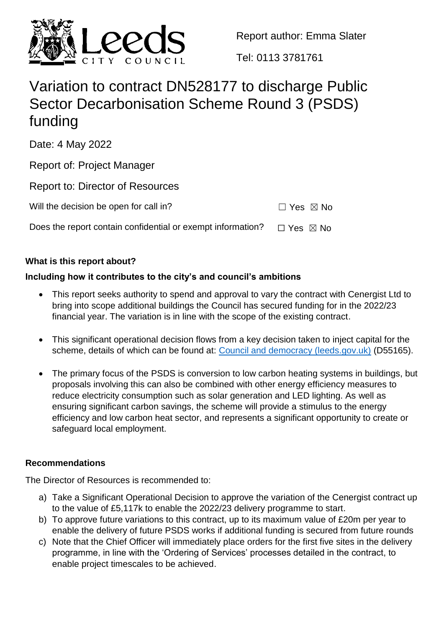

Report author: Emma Slater

Tel: 0113 3781761

# Variation to contract DN528177 to discharge Public Sector Decarbonisation Scheme Round 3 (PSDS) funding

Date: 4 May 2022

Report of: Project Manager

Report to: Director of Resources

Will the decision be open for call in?  $□$  Yes  $□$  No

Does the report contain confidential or exempt information?  $□$  Yes  $□$  No

# **What is this report about?**

# **Including how it contributes to the city's and council's ambitions**

- This report seeks authority to spend and approval to vary the contract with Cenergist Ltd to bring into scope additional buildings the Council has secured funding for in the 2022/23 financial year. The variation is in line with the scope of the existing contract.
- This significant operational decision flows from a key decision taken to inject capital for the scheme, details of which can be found at: [Council and democracy \(leeds.gov.uk\)](https://democracy.leeds.gov.uk/ieDecisionDetails.aspx?ID=55165) (D55165).
- The primary focus of the PSDS is conversion to low carbon heating systems in buildings, but proposals involving this can also be combined with other energy efficiency measures to reduce electricity consumption such as solar generation and LED lighting. As well as ensuring significant carbon savings, the scheme will provide a stimulus to the energy efficiency and low carbon heat sector, and represents a significant opportunity to create or safeguard local employment.

## **Recommendations**

The Director of Resources is recommended to:

- a) Take a Significant Operational Decision to approve the variation of the Cenergist contract up to the value of £5,117k to enable the 2022/23 delivery programme to start.
- b) To approve future variations to this contract, up to its maximum value of £20m per year to enable the delivery of future PSDS works if additional funding is secured from future rounds
- c) Note that the Chief Officer will immediately place orders for the first five sites in the delivery programme, in line with the 'Ordering of Services' processes detailed in the contract, to enable project timescales to be achieved.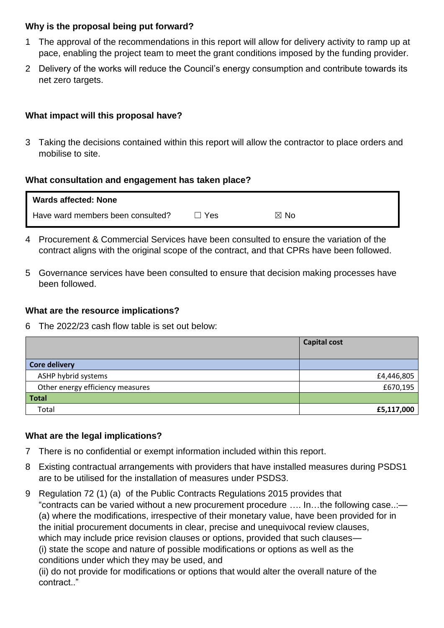#### **Why is the proposal being put forward?**

- 1 The approval of the recommendations in this report will allow for delivery activity to ramp up at pace, enabling the project team to meet the grant conditions imposed by the funding provider.
- 2 Delivery of the works will reduce the Council's energy consumption and contribute towards its net zero targets.

## **What impact will this proposal have?**

3 Taking the decisions contained within this report will allow the contractor to place orders and mobilise to site.

#### **What consultation and engagement has taken place?**

| <b>Wards affected: None</b>       |      |                |
|-----------------------------------|------|----------------|
| Have ward members been consulted? | `Yes | $\boxtimes$ No |

- 4 Procurement & Commercial Services have been consulted to ensure the variation of the contract aligns with the original scope of the contract, and that CPRs have been followed.
- 5 Governance services have been consulted to ensure that decision making processes have been followed.

#### **What are the resource implications?**

6 The 2022/23 cash flow table is set out below:

|                                  | <b>Capital cost</b> |
|----------------------------------|---------------------|
| <b>Core delivery</b>             |                     |
| ASHP hybrid systems              | £4,446,805          |
| Other energy efficiency measures | £670,195            |
| <b>Total</b>                     |                     |
| Total                            | £5,117,000          |

#### **What are the legal implications?**

- 7 There is no confidential or exempt information included within this report.
- 8 Existing contractual arrangements with providers that have installed measures during PSDS1 are to be utilised for the installation of measures under PSDS3.
- 9 Regulation 72 (1) (a) of the Public Contracts Regulations 2015 provides that "contracts can be varied without a new procurement procedure …. In…the following case..:— (a) where the modifications, irrespective of their monetary value, have been provided for in the initial procurement documents in clear, precise and unequivocal review clauses, which may include price revision clauses or options, provided that such clauses— (i) state the scope and nature of possible modifications or options as well as the conditions under which they may be used, and (ii) do not provide for modifications or options that would alter the overall nature of the

contract.."